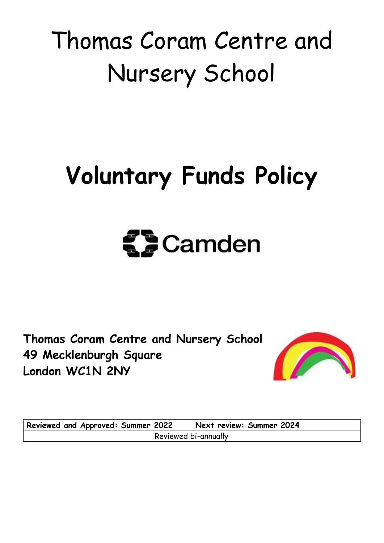# Thomas Coram Centre and Nursery School

# **Voluntary Funds Policy**



**Thomas Coram Centre and Nursery School 49 Mecklenburgh Square London WC1N 2NY**



| <b>Reviewed and Approved: Summer 2022</b> | Next review: Summer 2024 |  |  |  |  |  |  |
|-------------------------------------------|--------------------------|--|--|--|--|--|--|
| Reviewed bi-annually                      |                          |  |  |  |  |  |  |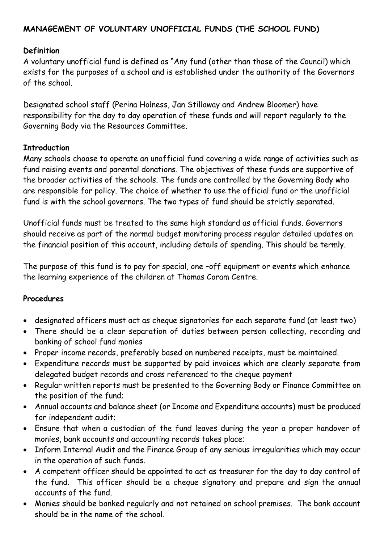# **MANAGEMENT OF VOLUNTARY UNOFFICIAL FUNDS (THE SCHOOL FUND)**

#### **Definition**

A voluntary unofficial fund is defined as "Any fund (other than those of the Council) which exists for the purposes of a school and is established under the authority of the Governors of the school.

Designated school staff (Perina Holness, Jan Stillaway and Andrew Bloomer) have responsibility for the day to day operation of these funds and will report regularly to the Governing Body via the Resources Committee.

#### **Introduction**

Many schools choose to operate an unofficial fund covering a wide range of activities such as fund raising events and parental donations. The objectives of these funds are supportive of the broader activities of the schools. The funds are controlled by the Governing Body who are responsible for policy. The choice of whether to use the official fund or the unofficial fund is with the school governors. The two types of fund should be strictly separated.

Unofficial funds must be treated to the same high standard as official funds. Governors should receive as part of the normal budget monitoring process regular detailed updates on the financial position of this account, including details of spending. This should be termly.

The purpose of this fund is to pay for special, one –off equipment or events which enhance the learning experience of the children at Thomas Coram Centre.

#### **Procedures**

- designated officers must act as cheque signatories for each separate fund (at least two)
- There should be a clear separation of duties between person collecting, recording and banking of school fund monies
- Proper income records, preferably based on numbered receipts, must be maintained.
- Expenditure records must be supported by paid invoices which are clearly separate from delegated budget records and cross referenced to the cheque payment
- Regular written reports must be presented to the Governing Body or Finance Committee on the position of the fund;
- Annual accounts and balance sheet (or Income and Expenditure accounts) must be produced for independent audit;
- Ensure that when a custodian of the fund leaves during the year a proper handover of monies, bank accounts and accounting records takes place;
- Inform Internal Audit and the Finance Group of any serious irregularities which may occur in the operation of such funds.
- A competent officer should be appointed to act as treasurer for the day to day control of the fund. This officer should be a cheque signatory and prepare and sign the annual accounts of the fund.
- Monies should be banked regularly and not retained on school premises. The bank account should be in the name of the school.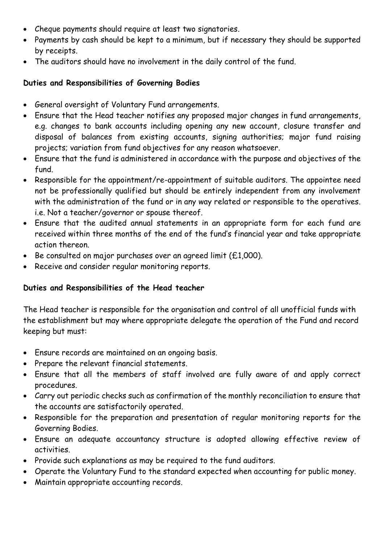- Cheque payments should require at least two signatories.
- Payments by cash should be kept to a minimum, but if necessary they should be supported by receipts.
- The auditors should have no involvement in the daily control of the fund.

## **Duties and Responsibilities of Governing Bodies**

- General oversight of Voluntary Fund arrangements.
- Ensure that the Head teacher notifies any proposed major changes in fund arrangements, e.g. changes to bank accounts including opening any new account, closure transfer and disposal of balances from existing accounts, signing authorities; major fund raising projects; variation from fund objectives for any reason whatsoever.
- Ensure that the fund is administered in accordance with the purpose and objectives of the fund.
- Responsible for the appointment/re-appointment of suitable auditors. The appointee need not be professionally qualified but should be entirely independent from any involvement with the administration of the fund or in any way related or responsible to the operatives. i.e. Not a teacher/governor or spouse thereof.
- Ensure that the audited annual statements in an appropriate form for each fund are received within three months of the end of the fund's financial year and take appropriate action thereon.
- Be consulted on major purchases over an agreed limit (£1,000).
- Receive and consider regular monitoring reports.

# **Duties and Responsibilities of the Head teacher**

The Head teacher is responsible for the organisation and control of all unofficial funds with the establishment but may where appropriate delegate the operation of the Fund and record keeping but must:

- Ensure records are maintained on an ongoing basis.
- Prepare the relevant financial statements.
- Ensure that all the members of staff involved are fully aware of and apply correct procedures.
- Carry out periodic checks such as confirmation of the monthly reconciliation to ensure that the accounts are satisfactorily operated.
- Responsible for the preparation and presentation of regular monitoring reports for the Governing Bodies.
- Ensure an adequate accountancy structure is adopted allowing effective review of activities.
- Provide such explanations as may be required to the fund auditors.
- Operate the Voluntary Fund to the standard expected when accounting for public money.
- Maintain appropriate accounting records.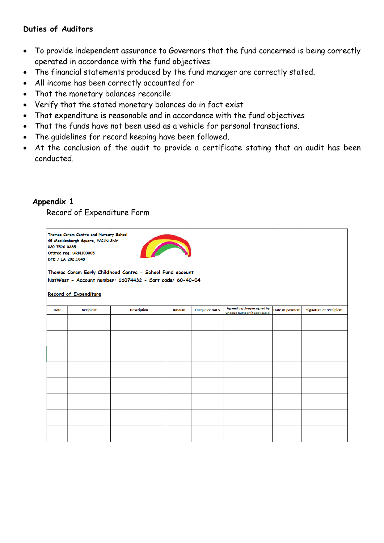#### **Duties of Auditors**

- To provide independent assurance to Governors that the fund concerned is being correctly operated in accordance with the fund objectives.
- The financial statements produced by the fund manager are correctly stated.
- All income has been correctly accounted for
- That the monetary balances reconcile
- Verify that the stated monetary balances do in fact exist
- That expenditure is reasonable and in accordance with the fund objectives
- That the funds have not been used as a vehicle for personal transactions.
- The guidelines for record keeping have been followed.
- At the conclusion of the audit to provide a certificate stating that an audit has been conducted.

#### **Appendix 1**

Record of Expenditure Form